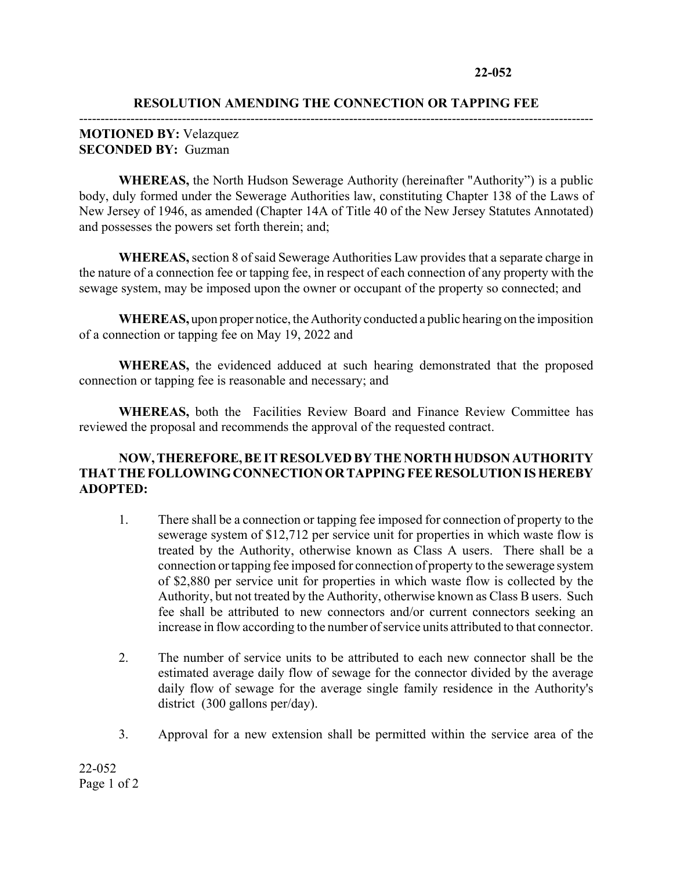## **RESOLUTION AMENDING THE CONNECTION OR TAPPING FEE** ------------------------------------------------------------------------------------------------------------------------

## **MOTIONED BY:** Velazquez **SECONDED BY:** Guzman

**WHEREAS,** the North Hudson Sewerage Authority (hereinafter "Authority") is a public body, duly formed under the Sewerage Authorities law, constituting Chapter 138 of the Laws of New Jersey of 1946, as amended (Chapter 14A of Title 40 of the New Jersey Statutes Annotated) and possesses the powers set forth therein; and;

**WHEREAS,** section 8 of said Sewerage Authorities Law provides that a separate charge in the nature of a connection fee or tapping fee, in respect of each connection of any property with the sewage system, may be imposed upon the owner or occupant of the property so connected; and

**WHEREAS,** upon proper notice, the Authority conducted a public hearing on the imposition of a connection or tapping fee on May 19, 2022 and

**WHEREAS,** the evidenced adduced at such hearing demonstrated that the proposed connection or tapping fee is reasonable and necessary; and

**WHEREAS,** both the Facilities Review Board and Finance Review Committee has reviewed the proposal and recommends the approval of the requested contract.

## **NOW, THEREFORE, BE IT RESOLVED BY THE NORTH HUDSON AUTHORITY THAT THE FOLLOWING CONNECTION OR TAPPING FEE RESOLUTION IS HEREBY ADOPTED:**

- 1. There shall be a connection or tapping fee imposed for connection of property to the sewerage system of \$12,712 per service unit for properties in which waste flow is treated by the Authority, otherwise known as Class A users. There shall be a connection or tapping fee imposed for connection of property to the sewerage system of \$2,880 per service unit for properties in which waste flow is collected by the Authority, but not treated by the Authority, otherwise known as Class B users. Such fee shall be attributed to new connectors and/or current connectors seeking an increase in flow according to the number of service units attributed to that connector.
- 2. The number of service units to be attributed to each new connector shall be the estimated average daily flow of sewage for the connector divided by the average daily flow of sewage for the average single family residence in the Authority's district (300 gallons per/day).
- 3. Approval for a new extension shall be permitted within the service area of the

22-052 Page 1 of 2